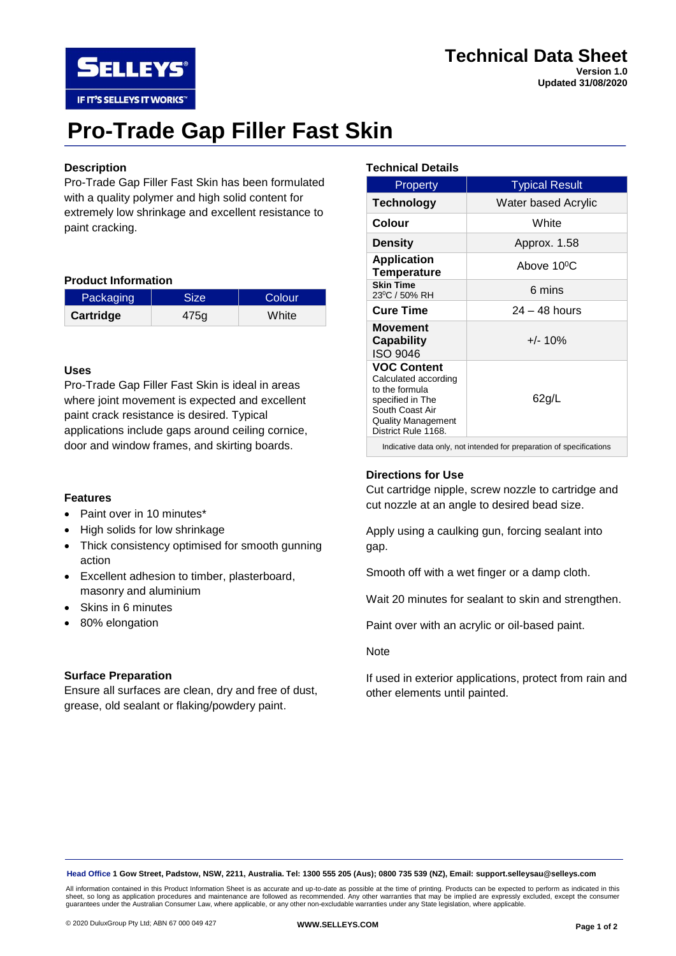

**Updated 31/08/2020**

# **Pro-Trade Gap Filler Fast Skin**

# **Description**

Pro-Trade Gap Filler Fast Skin has been formulated with a quality polymer and high solid content for extremely low shrinkage and excellent resistance to paint cracking.

### **Product Information**

**SELLEYS** 

IF IT'S SELLEYS IT WORKS"

| Packaging | <b>Size</b> | <b>Colour</b> |
|-----------|-------------|---------------|
| Cartridge | 475a        | White         |

### **Uses**

Pro-Trade Gap Filler Fast Skin is ideal in areas where joint movement is expected and excellent paint crack resistance is desired. Typical applications include gaps around ceiling cornice, door and window frames, and skirting boards.

### **Features**

- Paint over in 10 minutes\*
- High solids for low shrinkage
- Thick consistency optimised for smooth gunning action
- Excellent adhesion to timber, plasterboard, masonry and aluminium
- Skins in 6 minutes
- 80% elongation

### **Surface Preparation**

Ensure all surfaces are clean, dry and free of dust, grease, old sealant or flaking/powdery paint.

## **Technical Details**

| <b>Property</b>                                                                                                                                         | <b>Typical Result</b>   |
|---------------------------------------------------------------------------------------------------------------------------------------------------------|-------------------------|
| <b>Technology</b>                                                                                                                                       | Water based Acrylic     |
| Colour                                                                                                                                                  | White                   |
| <b>Density</b>                                                                                                                                          | Approx. 1.58            |
| <b>Application</b><br><b>Temperature</b>                                                                                                                | Above 10 <sup>o</sup> C |
| <b>Skin Time</b><br>23 <sup>0</sup> C / 50% RH                                                                                                          | 6 mins                  |
| <b>Cure Time</b>                                                                                                                                        | $24 - 48$ hours         |
| Movement<br>Capability<br>ISO 9046                                                                                                                      | $+/- 10%$               |
| <b>VOC Content</b><br>Calculated according<br>to the formula<br>specified in The<br>South Coast Air<br><b>Quality Management</b><br>District Rule 1168. | 62g/L                   |
| Indicative data only, not intended for preparation of specifications                                                                                    |                         |

### **Directions for Use**

Cut cartridge nipple, screw nozzle to cartridge and cut nozzle at an angle to desired bead size.

Apply using a caulking gun, forcing sealant into gap.

Smooth off with a wet finger or a damp cloth.

Wait 20 minutes for sealant to skin and strengthen.

Paint over with an acrylic or oil-based paint.

#### Note

If used in exterior applications, protect from rain and other elements until painted.

**Head Office 1 Gow Street, Padstow, NSW, 2211, Australia. Tel: 1300 555 205 (Aus); 0800 735 539 (NZ), Email: support.selleysau@selleys.com**

All information contained in this Product Information Sheet is as accurate and up-to-date as possible at the time of printing. Products can be expected to perform as indicated in this<br>sheet, so long as application procedur